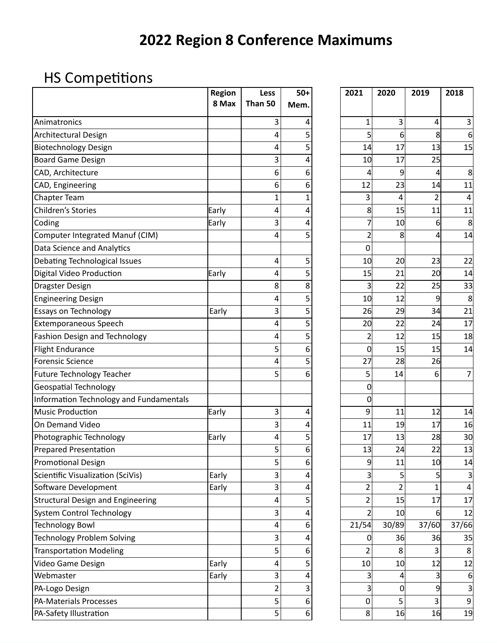## **2022 Region 8 Conference Maximums**

## HS Competitions

|                                          | <b>Region</b> | Less           | $50+$      | 2021           | 2020           | 2019           | 2018             |
|------------------------------------------|---------------|----------------|------------|----------------|----------------|----------------|------------------|
|                                          | 8 Max         | Than 50        | <b>Mem</b> |                |                |                |                  |
| Animatronics                             |               | 3              | 4          | 1              | 3              | 4              | 3                |
| Architectural Design                     |               | 4              | 5          | 5              | 6              | 8              | 6                |
| <b>Biotechnology Design</b>              |               | 4              | 5          | 14             | 17             | 13             | 15               |
| <b>Board Game Design</b>                 |               | 3              | 4          | 10             | 17             | 25             |                  |
| CAD, Architecture                        |               | 6              | 6          | 4              | 9              | 4              | 8                |
| CAD, Engineering                         |               | 6              | 6          | 12             | 23             | 14             | 11               |
| <b>Chapter Team</b>                      |               | $\mathbf 1$    | 1          | 3              | 4              | $\overline{2}$ | 4                |
| Children's Stories                       | Early         | 4              | 4          | 8              | 15             | 11             | 11               |
| Coding                                   | Early         | 3              | 4          | 7              | 10             | 6              | 8                |
| Computer Integrated Manuf (CIM)          |               | 4              | 5          | $\overline{c}$ | 8              | 4              | 14               |
| Data Science and Analytics               |               |                |            | 0              |                |                |                  |
| Debating Technological Issues            |               | 4              | 5          | 10             | 20             | 23             | 22               |
| Digital Video Production                 | Early         | 4              | 5          | 15             | 21             | 20             | 14               |
| <b>Dragster Design</b>                   |               | 8              | 8          | 3              | 22             | 25             | 33               |
| <b>Engineering Design</b>                |               | 4              | 5          | 10             | 12             | 9              | 8                |
| <b>Essays on Technology</b>              | Early         | 3              | 5          | 26             | 29             | 34             | 21               |
| <b>Extemporaneous Speech</b>             |               | 4              | 5          | 20             | 22             | 24             | 17               |
| <b>Fashion Design and Technology</b>     |               | 4              | 5          | $\overline{c}$ | 12             | 15             | 18               |
| <b>Flight Endurance</b>                  |               | 5              | 6          | 0              | 15             | 15             | 14               |
| <b>Forensic Science</b>                  |               | 4              | 5          | 27             | 28             | 26             |                  |
| <b>Future Technology Teacher</b>         |               | 5              | 6          | 5              | 14             | 6              | 7                |
| <b>Geospatial Technology</b>             |               |                |            | 0              |                |                |                  |
| Information Technology and Fundamentals  |               |                |            | 0              |                |                |                  |
| <b>Music Production</b>                  | Early         | 3              | 4          | 9              | 11             | 12             | 14               |
| On Demand Video                          |               | 3              | 4          | 11             | 19             | 17             | 16               |
| Photographic Technology                  | Early         | 4              | 5          | 17             | 13             | 28             | 30               |
| Prepared Presentation                    |               | 5              | 6          | 13             | 24             | 22             | 13               |
| <b>Promotional Design</b>                |               | 5              | 6          | 9              | 11             | 10             | 14               |
| Scientific Visualization (SciVis)        | Early         | 3              | 4          | 3              | 5              | 5              | 3                |
| Software Development                     | Early         | 3              | 4          | 2              | $\overline{2}$ | $\mathbf{1}$   | 4                |
| <b>Structural Design and Engineering</b> |               | 4              | 5          | 2              | 15             | 17             | 17               |
| <b>System Control Technology</b>         |               | 3              | 4          |                | 10             | 6              | 12               |
| <b>Technology Bowl</b>                   |               | 4              | 6          | 21/54          | 30/89          | 37/60          | 37/66            |
| <b>Technology Problem Solving</b>        |               | 3              | 4          | 0              | 36             | 36             | 35               |
| <b>Transportation Modeling</b>           |               | 5              | 6          | 2              | 8              | 3              | 8                |
| Video Game Design                        | Early         | 4              | 5          | 10             | 10             | 12             | 12               |
| Webmaster                                | Early         | 3              | 4          | 3              | 4              | 3              | 6                |
| PA-Logo Design                           |               | $\overline{2}$ | 3          | 3              | 0              | 9              | 3                |
| PA-Materials Processes                   |               | 5              | 6          | 0              | 5              | 3              | $\boldsymbol{9}$ |
| PA-Safety Illustration                   |               | 5              | 6          | 8              | 16             | 16             | 19               |

| 2021                     | 2020                    | 2019                    | 2018              |  |
|--------------------------|-------------------------|-------------------------|-------------------|--|
|                          |                         |                         |                   |  |
| 1                        | 3                       | 4                       | 3                 |  |
| 5                        | 6                       | 8                       | 6                 |  |
| 14                       | 17                      | 13                      | 15                |  |
| 10                       | 17                      | 25                      |                   |  |
| $\overline{\mathcal{L}}$ | 9                       | 4                       | 8                 |  |
| 12                       | 23                      | $\overline{14}$         | 11                |  |
| 3                        | 4                       | $\overline{\mathbf{c}}$ | 4                 |  |
| 8                        | 15                      | 11                      | $1\overline{1}$   |  |
| 7                        | 10                      | 6                       | 8                 |  |
| $\overline{2}$           | 8                       | 4                       | 14                |  |
| $\mathbf 0$              |                         |                         |                   |  |
| 10                       | 20                      | 23                      | 22                |  |
| 15                       | 21                      | 20                      | 14                |  |
| 3                        | 22                      | 25                      | 33                |  |
| 10                       | $1\overline{2}$         | 9                       | 8                 |  |
| 26                       | 29                      | 34                      | $\overline{21}$   |  |
| 20                       | 22                      | 24                      | $1\overline{7}$   |  |
| $\overline{\mathbf{c}}$  | 12                      | 15                      | 18                |  |
| $\mathbf{0}$             | 15                      | 15                      | 14                |  |
| <b>27</b>                | $\overline{28}$         | $\overline{26}$         |                   |  |
| 5                        | 14                      | 6                       | 7                 |  |
| 0                        |                         |                         |                   |  |
| 0                        |                         |                         |                   |  |
| 9                        | 11                      | 12                      | 14                |  |
| 11                       | 19                      | 17                      | 16                |  |
| 17                       | 13                      | 28                      | 30                |  |
| 13                       | 24                      | $\overline{22}$         | 13                |  |
| 9                        | 11                      | 10                      | 14                |  |
| 3                        | 5                       | 5                       |                   |  |
| $\overline{\mathbf{c}}$  | $\overline{\mathbf{c}}$ | 1                       | 4                 |  |
| $\overline{\mathbf{c}}$  | 15                      | 17                      | 17                |  |
| $\overline{2}$           | 10                      | 6                       | 12                |  |
| 21/54                    | 30/89                   | 37/60                   | $\frac{1}{37/66}$ |  |
| 0                        | 36                      | 36                      | 35                |  |
| $\overline{\mathbf{c}}$  | 8                       | 3                       | 8                 |  |
| 10                       | 10                      | 12                      | 12                |  |
| 3                        | 4                       | 3                       | 6                 |  |
| 3                        | 0                       | 9                       | 3                 |  |
| 0                        | 5                       | 3                       | 9                 |  |
| 8                        | 16                      | 16                      | 19                |  |